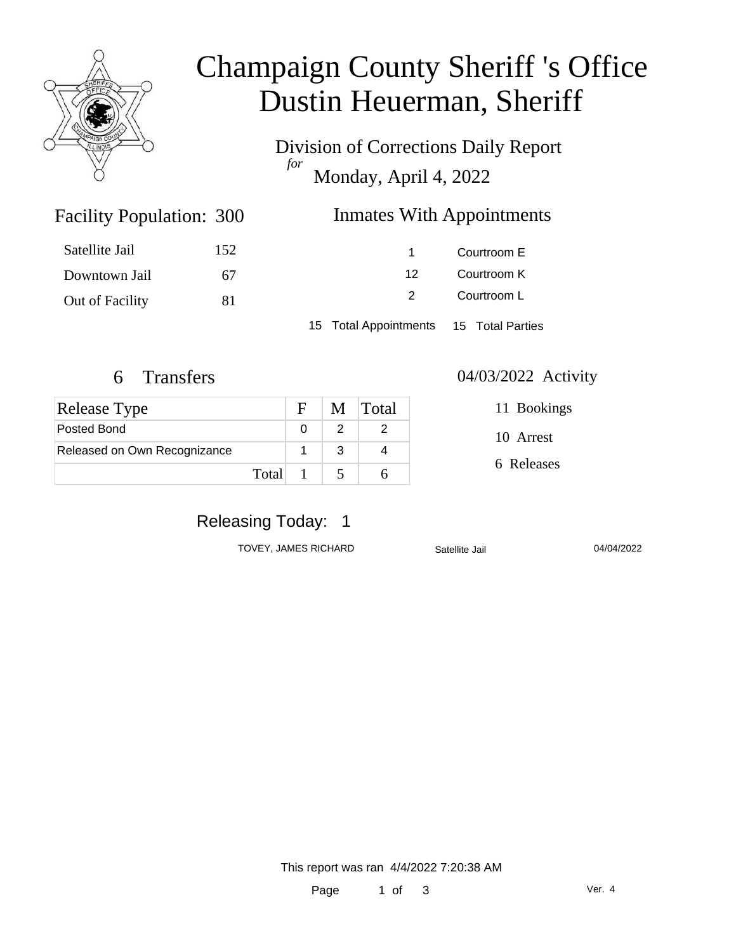

# Champaign County Sheriff 's Office Dustin Heuerman, Sheriff

Division of Corrections Daily Report *for* Monday, April 4, 2022

### Inmates With Appointments

| Satellite Jail         | 152 |  |
|------------------------|-----|--|
| Downtown Jail          | 67  |  |
| <b>Out of Facility</b> | 81  |  |

Facility Population: 300

1 Courtroom E 12 Courtroom K 2 Courtroom L

15 Total Appointments 15 Total Parties

| <b>Release Type</b>          |         | $\mathbf{F}$ | M Total |
|------------------------------|---------|--------------|---------|
| Posted Bond                  |         |              |         |
| Released on Own Recognizance |         |              |         |
|                              | Total 1 |              |         |

#### 6 Transfers 04/03/2022 Activity

11 Bookings

10 Arrest

6 Releases

# Releasing Today: 1

TOVEY, JAMES RICHARD Satellite Jail 04/04/2022

This report was ran 4/4/2022 7:20:38 AM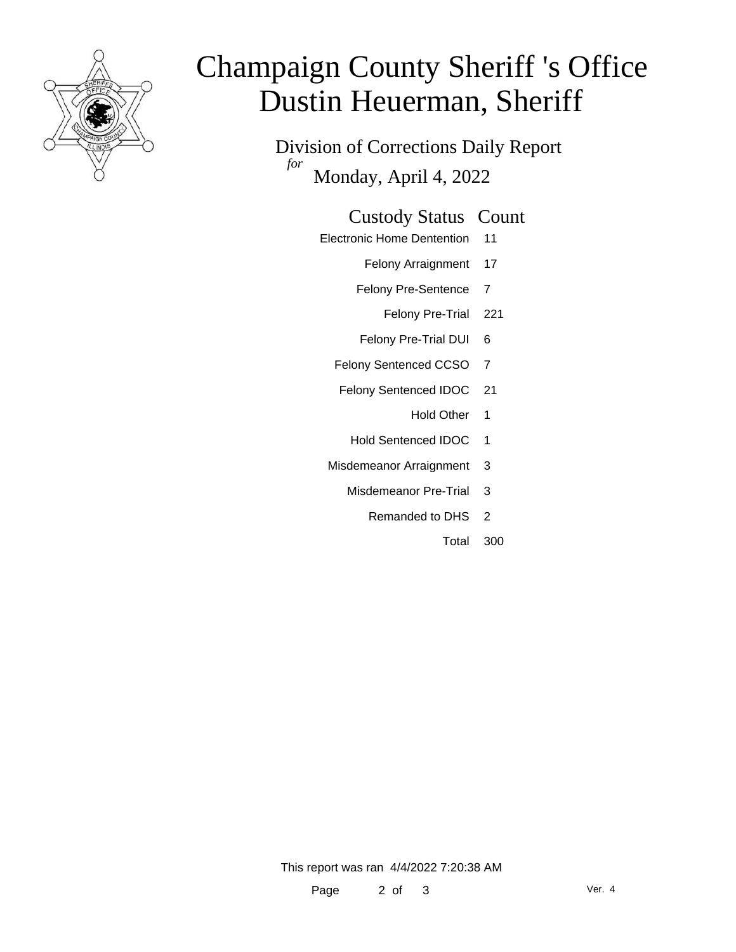

# Champaign County Sheriff 's Office Dustin Heuerman, Sheriff

Division of Corrections Daily Report *for* Monday, April 4, 2022

#### Custody Status Count

- Electronic Home Dentention 11
	- Felony Arraignment 17
	- Felony Pre-Sentence 7
		- Felony Pre-Trial 221
	- Felony Pre-Trial DUI 6
	- Felony Sentenced CCSO 7
	- Felony Sentenced IDOC 21
		- Hold Other 1
		- Hold Sentenced IDOC 1
	- Misdemeanor Arraignment 3
		- Misdemeanor Pre-Trial 3
			- Remanded to DHS 2
				- Total 300

This report was ran 4/4/2022 7:20:38 AM